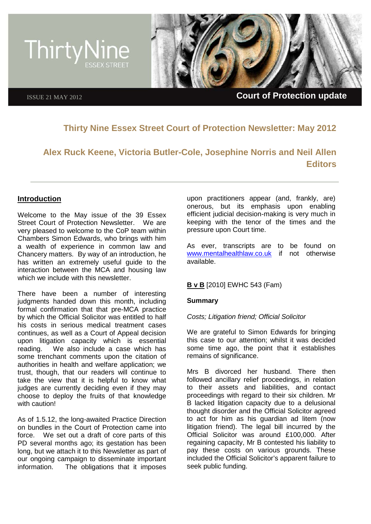

# **Thirty Nine Essex Street Court of Protection Newsletter: May 2012**

**Alex Ruck Keene, Victoria Butler-Cole, Josephine Norris and Neil Allen Editors**

# **Introduction**

Welcome to the May issue of the 39 Essex Street Court of Protection Newsletter. We are very pleased to welcome to the CoP team within Chambers Simon Edwards, who brings with him a wealth of experience in common law and Chancery matters. By way of an introduction, he has written an extremely useful guide to the interaction between the MCA and housing law which we include with this newsletter.

There have been a number of interesting judgments handed down this month, including formal confirmation that that pre-MCA practice by which the Official Solicitor was entitled to half his costs in serious medical treatment cases continues, as well as a Court of Appeal decision upon litigation capacity which is essential reading. We also include a case which has some trenchant comments upon the citation of authorities in health and welfare application; we trust, though, that our readers will continue to take the view that it is helpful to know what judges are currently deciding even if they may choose to deploy the fruits of that knowledge with caution!

As of 1.5.12, the long-awaited Practice Direction on bundles in the Court of Protection came into force. We set out a draft of core parts of this PD several months ago; its gestation has been long, but we attach it to this Newsletter as part of our ongoing campaign to disseminate important information. The obligations that it imposes upon practitioners appear (and, frankly, are) onerous, but its emphasis upon enabling efficient judicial decision-making is very much in keeping with the tenor of the times and the pressure upon Court time.

As ever, transcripts are to be found on [www.mentalhealthlaw.co.uk](http://www.mentalhealthlaw.co.uk/) if not otherwise available.

### **B v B** [2010] EWHC 543 (Fam)

#### **Summary**

#### *Costs; Litigation friend; Official Solicitor*

We are grateful to Simon Edwards for bringing this case to our attention; whilst it was decided some time ago, the point that it establishes remains of significance.

Mrs B divorced her husband. There then followed ancillary relief proceedings, in relation to their assets and liabilities, and contact proceedings with regard to their six children. Mr B lacked litigation capacity due to a delusional thought disorder and the Official Solicitor agreed to act for him as his guardian ad litem (now litigation friend). The legal bill incurred by the Official Solicitor was around £100,000. After regaining capacity, Mr B contested his liability to pay these costs on various grounds. These included the Official Solicitor's apparent failure to seek public funding.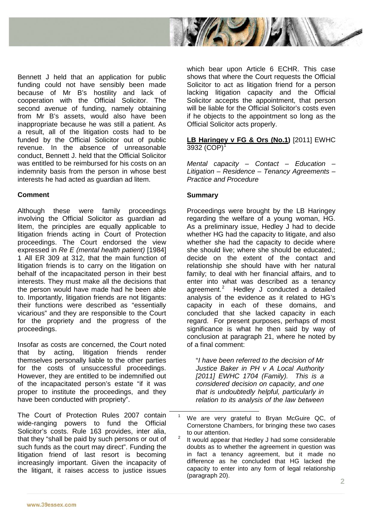

Bennett J held that an application for public funding could not have sensibly been made because of Mr B's hostility and lack of cooperation with the Official Solicitor. The second avenue of funding, namely obtaining from Mr B's assets, would also have been inappropriate because he was still a patient. As a result, all of the litigation costs had to be funded by the Official Solicitor out of public revenue. In the absence of unreasonable conduct, Bennett J. held that the Official Solicitor was entitled to be reimbursed for his costs on an indemnity basis from the person in whose best interests he had acted as guardian ad litem.

# **Comment**

Although these were family proceedings involving the Official Solicitor as guardian ad litem, the principles are equally applicable to litigation friends acting in Court of Protection proceedings. The Court endorsed the view expressed in *Re E (mental health patient)* [1984] 1 All ER 309 at 312, that the main function of litigation friends is to carry on the litigation on behalf of the incapacitated person in their best interests. They must make all the decisions that the person would have made had he been able to. Importantly, litigation friends are not litigants: their functions were described as "essentially vicarious" and they are responsible to the Court for the propriety and the progress of the proceedings.

Insofar as costs are concerned, the Court noted that by acting, litigation friends render themselves personally liable to the other parties for the costs of unsuccessful proceedings. However, they are entitled to be indemnified out of the incapacitated person's estate "if it was proper to institute the proceedings, and they have been conducted with propriety".

<span id="page-1-1"></span><span id="page-1-0"></span>The Court of Protection Rules 2007 contain wide-ranging powers to fund the Official Solicitor's costs. Rule 163 provides, inter alia, that they "shall be paid by such persons or out of such funds as the court may direct". Funding the litigation friend of last resort is becoming increasingly important. Given the incapacity of the litigant, it raises access to justice issues which bear upon Article 6 ECHR. This case shows that where the Court requests the Official Solicitor to act as litigation friend for a person lacking litigation capacity and the Official Solicitor accepts the appointment, that person will be liable for the Official Solicitor's costs even if he objects to the appointment so long as the Official Solicitor acts properly.

### **LB Haringey v FG & Ors (No.1)** [2011] EWHC  $3932 (COP)^1$  $3932 (COP)^1$

*Mental capacity – Contact – Education – Litigation – Residence – Tenancy Agreements – Practice and Procedure*

### **Summary**

Proceedings were brought by the LB Haringey regarding the welfare of a young woman, HG. As a preliminary issue, Hedley J had to decide whether HG had the capacity to litigate, and also whether she had the capacity to decide where she should live; where she should be educated,; decide on the extent of the contact and relationship she should have with her natural family; to deal with her financial affairs, and to enter into what was described as a tenancy agreement. $2$  Hedley J conducted a detailed analysis of the evidence as it related to HG's capacity in each of these domains, and concluded that she lacked capacity in each regard. For present purposes, perhaps of most significance is what he then said by way of conclusion at paragraph 21, where he noted by of a final comment:

"*I have been referred to the decision of Mr Justice Baker in PH v A Local Authority [2011] EWHC 1704 (Family). This is a considered decision on capacity, and one that is undoubtedly helpful, particularly in relation to its analysis of the law between* 

We are very grateful to Bryan McGuire QC, of Cornerstone Chambers, for bringing these two cases to our attention.

<sup>&</sup>lt;sup>2</sup> It would appear that Hedley J had some considerable doubts as to whether the agreement in question was in fact a tenancy agreement, but it made no difference as he concluded that HG lacked the capacity to enter into any form of legal relationship (paragraph 20).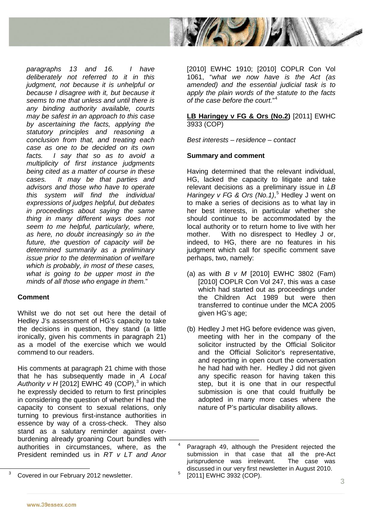

*paragraphs 13 and 16. I have deliberately not referred to it in this judgment, not because it is unhelpful or because I disagree with it, but because it seems to me that unless and until there is any binding authority available, courts may be safest in an approach to this case by ascertaining the facts, applying the statutory principles and reasoning a conclusion from that, and treating each case as one to be decided on its own facts. I say that so as to avoid a multiplicity of first instance judgments being cited as a matter of course in these cases. It may be that parties and advisors and those who have to operate this system will find the individual expressions of judges helpful, but debates in proceedings about saying the same thing in many different ways does not seem to me helpful, particularly, where, as here, no doubt increasingly so in the future, the question of capacity will be determined summarily as a preliminary issue prior to the determination of welfare which is probably, in most of these cases, what is going to be upper most in the minds of all those who engage in them.*"

### **Comment**

Whilst we do not set out here the detail of Hedley J's assessment of HG's capacity to take the decisions in question, they stand (a little ironically, given his comments in paragraph 21) as a model of the exercise which we would commend to our readers.

His comments at paragraph 21 chime with those that he has subsequently made in *A Local Authority v H* [2012] EWHC 49 (COP), [3](#page-2-0) in which he expressly decided to return to first principles in considering the question of whether H had the capacity to consent to sexual relations, only turning to previous first-instance authorities in essence by way of a cross-check. They also stand as a salutary reminder against overburdening already groaning Court bundles with authorities in circumstances, where, as the President reminded us in *RT v LT and Anor* 

[2010] EWHC 1910; [2010] COPLR Con Vol 1061, "*what we now have is the Act (as amended) and the essential judicial task is to apply the plain words of the statute to the facts of the case before the court.*" [4](#page-2-1)

### **LB Haringey v FG & Ors (No.2)** [2011] EWHC 3933 (COP)

*Best interests – residence – contact* 

### **Summary and comment**

Having determined that the relevant individual, HG, lacked the capacity to litigate and take relevant decisions as a preliminary issue in *LB Haringey v FG & Ors (No.1)*, [5](#page-2-0) Hedley J went on to make a series of decisions as to what lay in her best interests, in particular whether she should continue to be accommodated by the local authority or to return home to live with her mother. With no disrespect to Hedley J or, indeed, to HG, there are no features in his judgment which call for specific comment save perhaps, two, namely:

- (a) as with *B v M* [2010] EWHC 3802 (Fam) [2010] COPLR Con Vol 247, this was a case which had started out as proceedings under the Children Act 1989 but were then transferred to continue under the MCA 2005 given HG's age;
- (b) Hedley J met HG before evidence was given, meeting with her in the company of the solicitor instructed by the Official Solicitor and the Official Solicitor's representative, and reporting in open court the conversation he had had with her. Hedley J did not given any specific reason for having taken this step, but it is one that in our respectful submission is one that could fruitfully be adopted in many more cases where the nature of P's particular disability allows.

<span id="page-2-1"></span><span id="page-2-0"></span> <sup>3</sup> Covered in our February 2012 newsletter.

 <sup>4</sup> Paragraph 49, although the President rejected the submission in that case that all the pre-Act iurisprudence was irrelevant. The case was jurisprudence was irrelevant. discussed in our very first newsletter in August 2010.  $5$  [2011] EWHC 3932 (COP).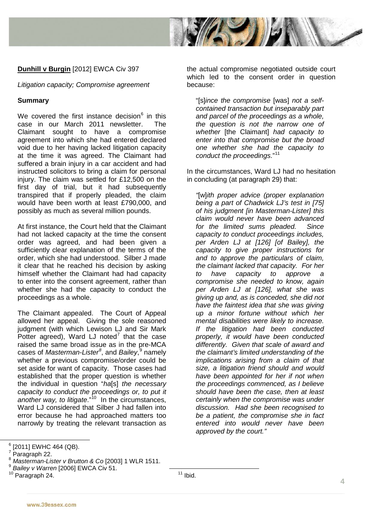

# **Dunhill v Burgin** [2012] EWCA Civ 397

*Litigation capacity; Compromise agreement*

### **Summary**

We covered the first instance decision $6$  in this case in our March 2011 newsletter. The Claimant sought to have a compromise agreement into which she had entered declared void due to her having lacked litigation capacity at the time it was agreed. The Claimant had suffered a brain injury in a car accident and had instructed solicitors to bring a claim for personal injury. The claim was settled for £12,500 on the first day of trial, but it had subsequently transpired that if properly pleaded, the claim would have been worth at least £790,000, and possibly as much as several million pounds.

At first instance, the Court held that the Claimant had not lacked capacity at the time the consent order was agreed, and had been given a sufficiently clear explanation of the terms of the order, which she had understood. Silber J made it clear that he reached his decision by asking himself whether the Claimant had had capacity to enter into the consent agreement, rather than whether she had the capacity to conduct the proceedings as a whole.

The Claimant appealed. The Court of Appeal allowed her appeal. Giving the sole reasoned judgment (with which Lewison LJ and Sir Mark Potter agreed), Ward LJ noted<sup>[7](#page-3-1)</sup> that the case raised the same broad issue as in the pre-MCA cases of *Masterman-Lister[8](#page-3-2)* , and *Bailey*, [9](#page-3-3) namely whether a previous compromise/order could be set aside for want of capacity. Those cases had established that the proper question is whether the individual in question "*ha*[s] *the necessary capacity to conduct the proceedings or, to put it*  another way, to litigate."<sup>10</sup> In the circumstances, Ward LJ considered that Silber J had fallen into error because he had approached matters too narrowly by treating the relevant transaction as

the actual compromise negotiated outside court which led to the consent order in question because:

"[s]*ince the compromise* [was] *not a selfcontained transaction but inseparably part and parcel of the proceedings as a whole, the question is not the narrow one of whether* [the Claimant] *had capacity to enter into that compromise but the broad one whether she had the capacity to conduct the proceedings*."[11](#page-3-4)

In the circumstances, Ward LJ had no hesitation in concluding (at paragraph 29) that:

*"*[w]*ith proper advice (proper explanation being a part of Chadwick LJ's test in [75] of his judgment [in Masterman-Lister] this claim would never have been advanced for the limited sums pleaded. Since capacity to conduct proceedings includes, per Arden LJ at [126] [of Bailey], the capacity to give proper instructions for and to approve the particulars of claim, the claimant lacked that capacity. For her to have capacity to approve a compromise she needed to know, again per Arden LJ at [126], what she was giving up and, as is conceded, she did not have the faintest idea that she was giving up a minor fortune without which her mental disabilities were likely to increase. If the litigation had been conducted properly, it would have been conducted differently. Given that scale of award and the claimant's limited understanding of the implications arising from a claim of that size, a litigation friend should and would have been appointed for her if not when the proceedings commenced, as I believe should have been the case, then at least certainly when the compromise was under discussion. Had she been recognised to be a patient, the compromise she in fact entered into would never have been approved by the court."*

 $11$  Ibid.

<span id="page-3-0"></span>

<span id="page-3-1"></span>

<span id="page-3-2"></span>

<sup>&</sup>lt;sup>6</sup> [2011] EWHC 464 (QB).<br><sup>7</sup> Paragraph 22.<br><sup>8</sup> *Masterman-Lister v Brutton & Co* [2003] 1 WLR 1511.<br><sup>9</sup> *Bailev v Warren* [2006] EWCA Civ 51.

<span id="page-3-4"></span><span id="page-3-3"></span><sup>10</sup> Paragraph 24.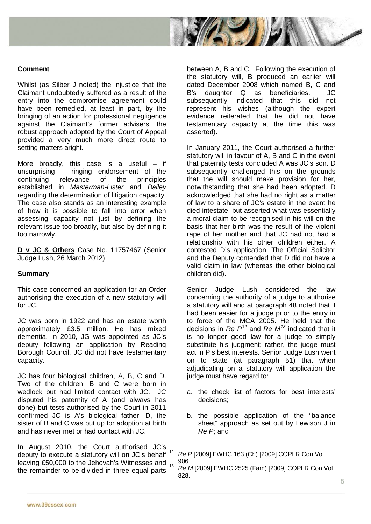

#### **Comment**

Whilst (as Silber J noted) the injustice that the Claimant undoubtedly suffered as a result of the entry into the compromise agreement could have been remedied, at least in part, by the bringing of an action for professional negligence against the Claimant's former advisers, the robust approach adopted by the Court of Appeal provided a very much more direct route to setting matters aright.

More broadly, this case is a useful  $-$  if unsurprising – ringing endorsement of the continuing relevance of the principles established in *Masterman-Lister* and *Bailey* regarding the determination of litigation capacity. The case also stands as an interesting example of how it is possible to fall into error when assessing capacity not just by defining the relevant issue too broadly, but also by defining it too narrowly.

**D v JC & Others** Case No. 11757467 (Senior Judge Lush, 26 March 2012)

#### **Summary**

This case concerned an application for an Order authorising the execution of a new statutory will for JC.

JC was born in 1922 and has an estate worth approximately £3.5 million. He has mixed dementia. In 2010, JG was appointed as JC's deputy following an application by Reading Borough Council. JC did not have testamentary capacity.

JC has four biological children, A, B, C and D. Two of the children, B and C were born in wedlock but had limited contact with JC. JC disputed his paternity of A (and always has done) but tests authorised by the Court in 2011 confirmed JC is A's biological father. D, the sister of B and C was put up for adoption at birth and has never met or had contact with JC.

<span id="page-4-1"></span><span id="page-4-0"></span>In August 2010, the Court authorised JC's deputy to execute a statutory will on JC's behalf<sup>12</sup> leaving £50,000 to the Jehovah's Witnesses and <sub>13</sub> the remainder to be divided in three equal parts

between A, B and C. Following the execution of the statutory will, B produced an earlier will dated December 2008 which named B, C and B's daughter Q as beneficiaries. JC subsequently indicated that this did not represent his wishes (although the expert evidence reiterated that he did not have testamentary capacity at the time this was asserted).

In January 2011, the Court authorised a further statutory will in favour of A, B and C in the event that paternity tests concluded A was JC's son. D subsequently challenged this on the grounds that the will should make provision for her, notwithstanding that she had been adopted. D acknowledged that she had no right as a matter of law to a share of JC's estate in the event he died intestate, but asserted what was essentially a moral claim to be recognised in his will on the basis that her birth was the result of the violent rape of her mother and that JC had not had a relationship with his other children either. A contested D's application. The Official Solicitor and the Deputy contended that D did not have a valid claim in law (whereas the other biological children did).

Senior Judge Lush considered the law concerning the authority of a judge to authorise a statutory will and at paragraph 48 noted that it had been easier for a judge prior to the entry in to force of the MCA 2005. He held that the decisions in *Re P*[12](#page-4-0) and *Re M[13](#page-4-1)* indicated that it is no longer good law for a judge to simply substitute his judgment; rather, the judge must act in P's best interests. Senior Judge Lush went on to state (at paragraph 51) that when adjudicating on a statutory will application the judge must have regard to:

- a. the check list of factors for best interests' decisions;
- b. the possible application of the "balance sheet" approach as set out by Lewison J in *Re P*; and

 <sup>12</sup> *Re P* [2009] EWHC 163 (Ch) [2009] COPLR Con Vol 906.

<sup>13</sup> *Re M* [2009] EWHC 2525 (Fam) [2009] COPLR Con Vol 828.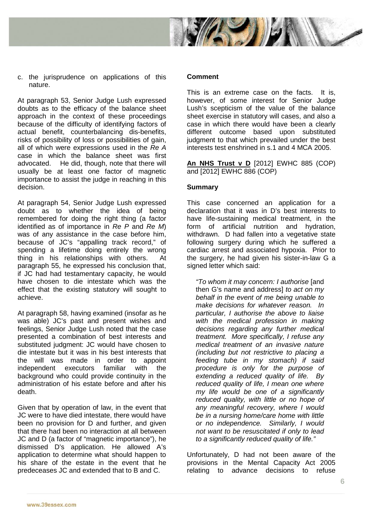

c. the jurisprudence on applications of this nature.

At paragraph 53, Senior Judge Lush expressed doubts as to the efficacy of the balance sheet approach in the context of these proceedings because of the difficulty of identifying factors of actual benefit, counterbalancing dis-benefits, risks of possibility of loss or possibilities of gain, all of which were expressions used in the *Re A*  case in which the balance sheet was first advocated. He did, though, note that there will usually be at least one factor of magnetic importance to assist the judge in reaching in this decision.

At paragraph 54, Senior Judge Lush expressed doubt as to whether the idea of being remembered for doing the right thing (a factor identified as of importance in *Re P* and *Re M*) was of any assistance in the case before him, because of JC's "appalling track record," of spending a lifetime doing entirely the wrong thing in his relationships with others. At paragraph 55, he expressed his conclusion that, if JC had had testamentary capacity, he would have chosen to die intestate which was the effect that the existing statutory will sought to achieve.

At paragraph 58, having examined (insofar as he was able) JC's past and present wishes and feelings, Senior Judge Lush noted that the case presented a combination of best interests and substituted judgment: JC would have chosen to die intestate but it was in his best interests that the will was made in order to appoint independent executors familiar with the background who could provide continuity in the administration of his estate before and after his death.

Given that by operation of law, in the event that JC were to have died intestate, there would have been no provision for D and further, and given that there had been no interaction at all between JC and D (a factor of "magnetic importance"), he dismissed D's application. He allowed A's application to determine what should happen to his share of the estate in the event that he predeceases JC and extended that to B and C.

#### **Comment**

This is an extreme case on the facts. It is, however, of some interest for Senior Judge Lush's scepticism of the value of the balance sheet exercise in statutory will cases, and also a case in which there would have been a clearly different outcome based upon substituted judgment to that which prevailed under the best interests test enshrined in s.1 and 4 MCA 2005.

**An NHS Trust v D** [2012] EWHC 885 (COP) and [2012] EWHC 886 (COP)

### **Summary**

This case concerned an application for a declaration that it was in D's best interests to have life-sustaining medical treatment, in the form of artificial nutrition and hydration, withdrawn. D had fallen into a vegetative state following surgery during which he suffered a cardiac arrest and associated hypoxia. Prior to the surgery, he had given his sister-in-law G a signed letter which said:

*"To whom it may concern: I authorise* [and then G's name and address] *to act on my behalf in the event of me being unable to make decisions for whatever reason. In particular, I authorise the above to liaise with the medical profession in making decisions regarding any further medical treatment. More specifically, I refuse any medical treatment of an invasive nature (including but not restrictive to placing a feeding tube in my stomach) if said procedure is only for the purpose of extending a reduced quality of life. By reduced quality of life, I mean one where my life would be one of a significantly reduced quality, with little or no hope of any meaningful recovery, where I would be in a nursing home/care home with little or no independence. Similarly, I would not want to be resuscitated if only to lead to a significantly reduced quality of life."*

Unfortunately, D had not been aware of the provisions in the Mental Capacity Act 2005 relating to advance decisions to refuse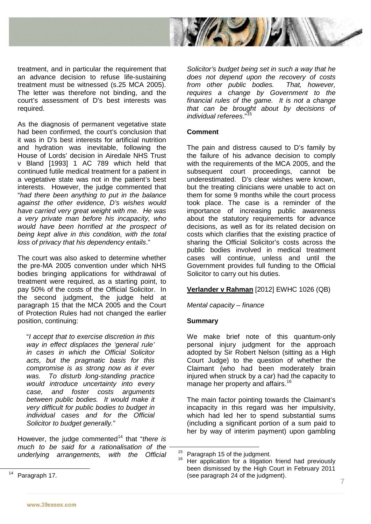

treatment, and in particular the requirement that an advance decision to refuse life-sustaining treatment must be witnessed (s.25 MCA 2005). The letter was therefore not binding, and the court's assessment of D's best interests was required.

As the diagnosis of permanent vegetative state had been confirmed, the court's conclusion that it was in D's best interests for artificial nutrition and hydration was inevitable, following the House of Lords' decision in Airedale NHS Trust v Bland [1993] 1 AC 789 which held that continued futile medical treatment for a patient in a vegetative state was not in the patient's best interests. However, the judge commented that "*had there been anything to put in the balance against the other evidence, D's wishes would have carried very great weight with me. He was a very private man before his incapacity, who would have been horrified at the prospect of being kept alive in this condition, with the total loss of privacy that his dependency entails*."

The court was also asked to determine whether the pre-MA 2005 convention under which NHS bodies bringing applications for withdrawal of treatment were required, as a starting point, to pay 50% of the costs of the Official Solicitor. In the second judgment, the judge held at paragraph 15 that the MCA 2005 and the Court of Protection Rules had not changed the earlier position, continuing:

"*I accept that to exercise discretion in this way in effect displaces the 'general rule' in cases in which the Official Solicitor acts, but the pragmatic basis for this compromise is as strong now as it ever was. To disturb long-standing practice would introduce uncertainty into every case, and foster costs arguments between public bodies. It would make it very difficult for public bodies to budget in individual cases and for the Official Solicitor to budget generally.*"

However, the judge commented[14](#page-6-0) that "*there is much to be said for a rationalisation of the underlying arrangements, with the Official* 

*Solicitor's budget being set in such a way that he does not depend upon the recovery of costs from other public bodies. That, however, requires a change by Government to the financial rules of the game. It is not a change that can be brought about by decisions of individual referees*." [15](#page-6-1)

### **Comment**

The pain and distress caused to D's family by the failure of his advance decision to comply with the requirements of the MCA 2005, and the subsequent court proceedings, cannot be underestimated. D's clear wishes were known, but the treating clinicians were unable to act on them for some 9 months while the court process took place. The case is a reminder of the importance of increasing public awareness about the statutory requirements for advance decisions, as well as for its related decision on costs which clarifies that the existing practice of sharing the Official Solicitor's costs across the public bodies involved in medical treatment cases will continue, unless and until the Government provides full funding to the Official Solicitor to carry out his duties.

### **Verlander v Rahman** [2012] EWHC 1026 (QB)

*Mental capacity – finance* 

### **Summary**

We make brief note of this quantum-only personal injury judgment for the approach adopted by Sir Robert Nelson (sitting as a High Court Judge) to the question of whether the Claimant (who had been moderately brain injured when struck by a car) had the capacity to manage her property and affairs.<sup>16</sup>

The main factor pointing towards the Claimant's incapacity in this regard was her impulsivity, which had led her to spend substantial sums (including a significant portion of a sum paid to her by way of interim payment) upon gambling

<sup>&</sup>lt;sup>15</sup> Paragraph 15 of the judgment.<br><sup>16</sup> Her application for a litigation friend had previously been dismissed by the High Court in February 2011 (see paragraph 24 of the judgment).

<span id="page-6-2"></span><span id="page-6-1"></span><span id="page-6-0"></span><sup>&</sup>lt;sup>14</sup> Paragraph 17.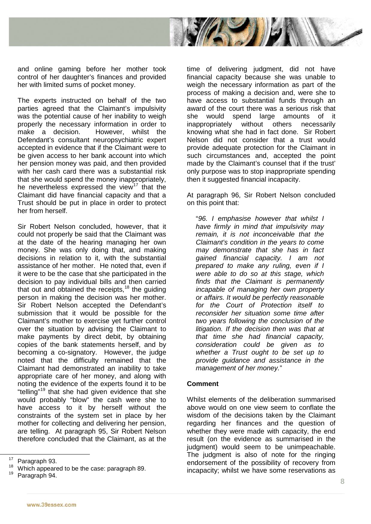

and online gaming before her mother took control of her daughter's finances and provided her with limited sums of pocket money.

The experts instructed on behalf of the two parties agreed that the Claimant's impulsivity was the potential cause of her inability to weigh properly the necessary information in order to make a decision. However, whilst the Defendant's consultant neuropsychiatric expert accepted in evidence that if the Claimant were to be given access to her bank account into which her pension money was paid, and then provided with her cash card there was a substantial risk that she would spend the money inappropriately, he nevertheless expressed the view<sup>[17](#page-7-0)</sup> that the Claimant did have financial capacity and that a Trust should be put in place in order to protect her from herself.

Sir Robert Nelson concluded, however, that it could not properly be said that the Claimant was at the date of the hearing managing her own money. She was only doing that, and making decisions in relation to it, with the substantial assistance of her mother. He noted that, even if it were to be the case that she participated in the decision to pay individual bills and then carried that out and obtained the receipts, $18$  the guiding person in making the decision was her mother. Sir Robert Nelson accepted the Defendant's submission that it would be possible for the Claimant's mother to exercise yet further control over the situation by advising the Claimant to make payments by direct debit, by obtaining copies of the bank statements herself, and by becoming a co-signatory. However, the judge noted that the difficulty remained that the Claimant had demonstrated an inability to take appropriate care of her money, and along with noting the evidence of the experts found it to be "telling"[19](#page-7-2) that she had given evidence that she would probably "blow" the cash were she to have access to it by herself without the constraints of the system set in place by her mother for collecting and delivering her pension, are telling. At paragraph 95, Sir Robert Nelson therefore concluded that the Claimant, as at the

<span id="page-7-2"></span>

time of delivering judgment, did not have financial capacity because she was unable to weigh the necessary information as part of the process of making a decision and, were she to have access to substantial funds through an award of the court there was a serious risk that she would spend large amounts of it inappropriately without others necessarily knowing what she had in fact done. Sir Robert Nelson did not consider that a trust would provide adequate protection for the Claimant in such circumstances and, accepted the point made by the Claimant's counsel that if the trust' only purpose was to stop inappropriate spending then it suggested financial incapacity.

At paragraph 96, Sir Robert Nelson concluded on this point that:

"*96. I emphasise however that whilst I have firmly in mind that impulsivity may remain, it is not inconceivable that the Claimant's condition in the years to come may demonstrate that she has in fact gained financial capacity. I am not prepared to make any ruling, even if I were able to do so at this stage, which finds that the Claimant is permanently incapable of managing her own property or affairs. It would be perfectly reasonable for the Court of Protection itself to reconsider her situation some time after two years following the conclusion of the litigation. If the decision then was that at that time she had financial capacity, consideration could be given as to whether a Trust ought to be set up to provide guidance and assistance in the management of her money.*"

### **Comment**

Whilst elements of the deliberation summarised above would on one view seem to conflate the wisdom of the decisions taken by the Claimant regarding her finances and the question of whether they were made with capacity, the end result (on the evidence as summarised in the judgment) would seem to be unimpeachable. The judgment is also of note for the ringing endorsement of the possibility of recovery from incapacity; whilst we have some reservations as

<span id="page-7-1"></span><span id="page-7-0"></span><sup>&</sup>lt;sup>17</sup> Paragraph 93.<br><sup>18</sup> Which appeared to be the case: paragraph 89.<br><sup>19</sup> Paragraph 94.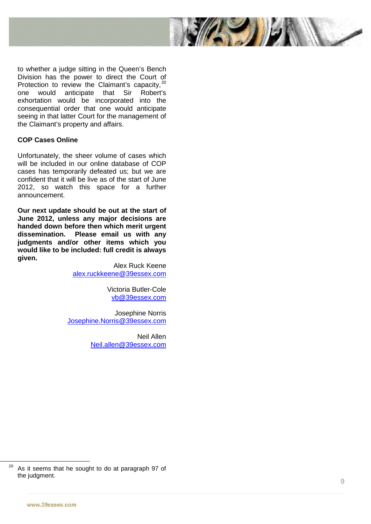

to whether a judge sitting in the Queen's Bench Division has the power to direct the Court of Protection to review the Claimant's capacity,<sup>[20](#page-8-0)</sup> one would anticipate that Sir Robert's exhortation would be incorporated into the consequential order that one would anticipate seeing in that latter Court for the management of the Claimant's property and affairs.

### **COP Cases Online**

Unfortunately, the sheer volume of cases which will be included in our online database of COP cases has temporarily defeated us; but we are confident that it will be live as of the start of June 2012, so watch this space for a further announcement.

**Our next update should be out at the start of June 2012, unless any major decisions are handed down before then which merit urgent Please email us with any judgments and/or other items which you would like to be included: full credit is always given.** 

> Alex Ruck Keene [alex.ruckkeene@39essex.com](mailto:alex.ruckkeene@39essex.com)

> > Victoria Butler -Cole [vb@39essex.com](mailto:vb@39essex.com)

Josephine Norris [Josephine.Norris@39essex.com](mailto:Josephine.Norris@39essex.com)

> Neil Allen [Neil.allen@39essex.com](mailto:Neil.allen@39essex.com)

<span id="page-8-0"></span> $20$  As it seems that he sought to do at paragraph 97 of the judgment.